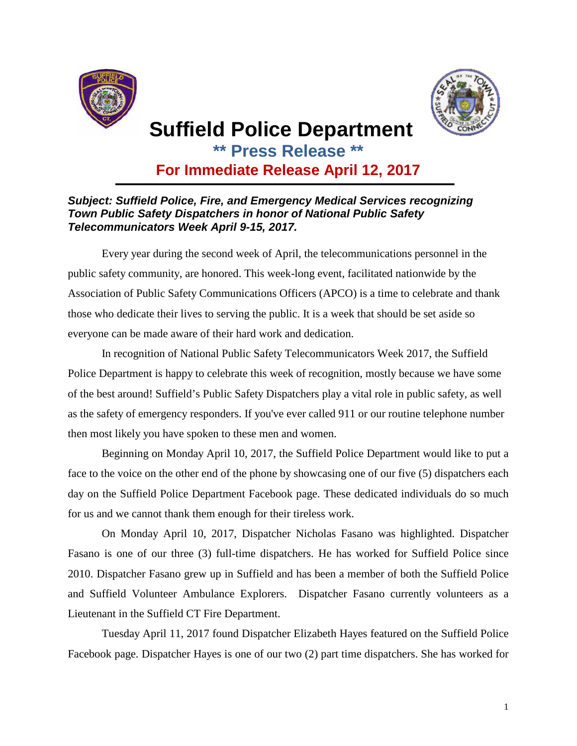



## **Suffield Police Department**

**\*\* Press Release \*\***

**For Immediate Release April 12, 2017** 

## **Subject: Suffield Police, Fire, and Emergency Medical Services recognizing Town Public Safety Dispatchers in honor of National Public Safety Telecommunicators Week April 9-15, 2017.**

Every year during the second week of April, the telecommunications personnel in the public safety community, are honored. This week-long event, facilitated nationwide by the Association of Public Safety Communications Officers (APCO) is a time to celebrate and thank those who dedicate their lives to serving the public. It is a week that should be set aside so everyone can be made aware of their hard work and dedication.

In recognition of National Public Safety Telecommunicators Week 2017, the Suffield Police Department is happy to celebrate this week of recognition, mostly because we have some of the best around! Suffield's Public Safety Dispatchers play a vital role in public safety, as well as the safety of emergency responders. If you've ever called 911 or our routine telephone number then most likely you have spoken to these men and women.

Beginning on Monday April 10, 2017, the Suffield Police Department would like to put a face to the voice on the other end of the phone by showcasing one of our five (5) dispatchers each day on the Suffield Police Department Facebook page. These dedicated individuals do so much for us and we cannot thank them enough for their tireless work.

On Monday April 10, 2017, Dispatcher Nicholas Fasano was highlighted. Dispatcher Fasano is one of our three (3) full-time dispatchers. He has worked for Suffield Police since 2010. Dispatcher Fasano grew up in Suffield and has been a member of both the Suffield Police and Suffield Volunteer Ambulance Explorers. Dispatcher Fasano currently volunteers as a Lieutenant in the Suffield CT Fire Department.

Tuesday April 11, 2017 found Dispatcher Elizabeth Hayes featured on the Suffield Police Facebook page. Dispatcher Hayes is one of our two (2) part time dispatchers. She has worked for